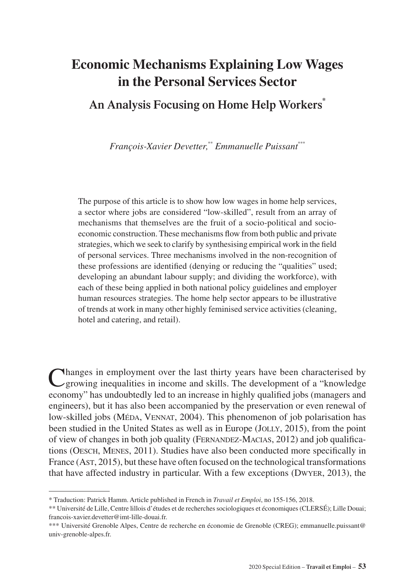# **Economic Mechanisms Explaining Low Wages in the Personal Services Sector**

# **An Analysis Focusing on Home Help Workers\***

*François-Xavier Devetter,*\*\* *Emmanuelle Puissant*\*\*\*

The purpose of this article is to show how low wages in home help services, a sector where jobs are considered "low-skilled", result from an array of mechanisms that themselves are the fruit of a socio-political and socioeconomic construction. These mechanisms flow from both public and private strategies, which we seek to clarify by synthesising empirical work in the field of personal services. Three mechanisms involved in the non-recognition of these professions are identified (denying or reducing the "qualities" used; developing an abundant labour supply; and dividing the workforce), with each of these being applied in both national policy guidelines and employer human resources strategies. The home help sector appears to be illustrative of trends at work in many other highly feminised service activities (cleaning, hotel and catering, and retail).

Changes in employment over the last thirty years have been characterised by growing inequalities in income and skills. The development of a "knowledge economy" has undoubtedly led to an increase in highly qualified jobs (managers and engineers), but it has also been accompanied by the preservation or even renewal of low-skilled jobs (MéDA, VENNAT, 2004). This phenomenon of job polarisation has been studied in the United States as well as in Europe (JOLLY, 2015), from the point of view of changes in both job quality (Fernandez-Macias, 2012) and job qualifications (Oesch, Menes, 2011). Studies have also been conducted more specifically in France (Ast, 2015), but these have often focused on the technological transformations that have affected industry in particular. With a few exceptions (Dwyer, 2013), the

<sup>\*</sup> Traduction: Patrick Hamm. Article published in French in *Travail et Emploi*, no 155-156, 2018.

<sup>\*\*</sup> Université de Lille, Centre lillois d'études et de recherches sociologiques et économiques (CLERSÉ); Lille Douai; [francois-xavier.devetter@imt-lille-douai.fr](mailto:francois-xavier.devetter@imt-lille-douai.fr).

<sup>\*\*\*</sup> Université Grenoble Alpes, Centre de recherche en économie de Grenoble (CREG); [emmanuelle.puissant@](mailto:emmanuelle.puissant@univ-grenoble-alpes.fr) [univ-grenoble-alpes.fr](mailto:emmanuelle.puissant@univ-grenoble-alpes.fr).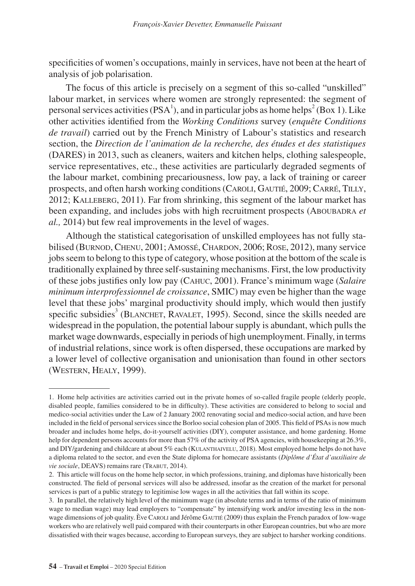specificities of women's occupations, mainly in services, have not been at the heart of analysis of job polarisation.

The focus of this article is precisely on a segment of this so-called "unskilled" labour market, in services where women are strongly represented: the segment of personal services activities (PSA<sup>1</sup>), and in particular jobs as home helps<sup>2</sup> (Box 1). Like other activities identified from the *Working Conditions* survey (*enquête Conditions de travail*) carried out by the French Ministry of Labour's statistics and research section, the *Direction de l'animation de la recherche, des études et des statistiques* (DARES) in 2013, such as cleaners, waiters and kitchen helps, clothing salespeople, service representatives, etc., these activities are particularly degraded segments of the labour market, combining precariousness, low pay, a lack of training or career prospects, and often harsh working conditions (Caroli, Gautié, 2009; Carré, Tilly, 2012; Kalleberg, 2011). Far from shrinking, this segment of the labour market has been expanding, and includes jobs with high recruitment prospects (ABOUBADRA *et al.,* 2014) but few real improvements in the level of wages.

Although the statistical categorisation of unskilled employees has not fully stabilised (Burnod, Chenu, 2001;Amossé, Chardon, 2006; Rose, 2012), many service jobs seem to belong to this type of category, whose position at the bottom of the scale is traditionally explained by three self-sustaining mechanisms. First, the low productivity of these jobs justifies only low pay (Cahuc, 2001). France's minimum wage (*Salaire minimum interprofessionnel de croissance*, SMIC) may even be higher than the wage level that these jobs' marginal productivity should imply, which would then justify specific subsidies<sup>3</sup> (BLANCHET, RAVALET, 1995). Second, since the skills needed are widespread in the population, the potential labour supply is abundant, which pulls the market wage downwards, especially in periods of high unemployment. Finally, in terms of industrial relations, since work is often dispersed, these occupations are marked by a lower level of collective organisation and unionisation than found in other sectors (Western, Healy, 1999).

<sup>1.</sup> Home help activities are activities carried out in the private homes of so-called fragile people (elderly people, disabled people, families considered to be in difficulty). These activities are considered to belong to social and medico-social activities under the Law of 2 January 2002 renovating social and medico-social action, and have been included in the field of personal services since the Borloo social cohesion plan of 2005. This field of PSAs is now much broader and includes home helps, do-it-yourself activities (DIY), computer assistance, and home gardening. Home help for dependent persons accounts for more than 57% of the activity of PSA agencies, with housekeeping at 26.3%, and DIY/gardening and childcare at about 5% each (KULANTHAIVELU, 2018). Most employed home helps do not have a diploma related to the sector, and even the State diploma for homecare assistants (*Diplôme d'État d'auxiliaire de vie sociale*, DEAVS) remains rare (TRABUT, 2014).

<sup>2.</sup> This article will focus on the home help sector, in which professions, training, and diplomas have historically been constructed. The field of personal services will also be addressed, insofar as the creation of the market for personal services is part of a public strategy to legitimise low wages in all the activities that fall within its scope.

<sup>3.</sup> In parallel, the relatively high level of the minimum wage (in absolute terms and in terms of the ratio of minimum wage to median wage) may lead employers to "compensate" by intensifying work and/or investing less in the nonwage dimensions of job quality. Ève Caroli and Jérôme Gautié (2009) thus explain the French paradox of low-wage workers who are relatively well paid compared with their counterparts in other European countries, but who are more dissatisfied with their wages because, according to European surveys, they are subject to harsher working conditions.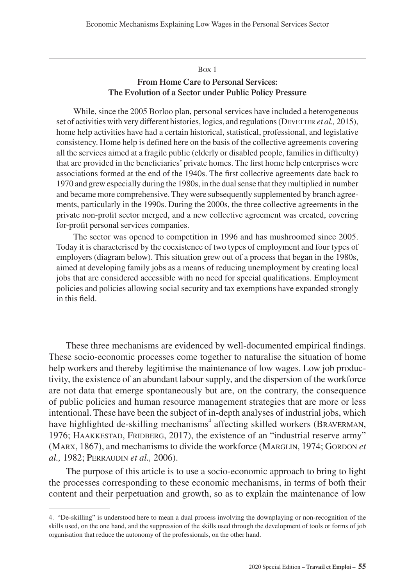### Box 1 **From Home Care to Personal Services: The Evolution of a Sector under Public Policy Pressure**

While, since the 2005 Borloo plan, personal services have included a heterogeneous set of activities with very different histories, logics, and regulations (DEVETTER *et al.*, 2015), home help activities have had a certain historical, statistical, professional, and legislative consistency. Home help is defined here on the basis of the collective agreements covering all the services aimed at a fragile public (elderly or disabled people, families in difficulty) that are provided in the beneficiaries' private homes. The first home help enterprises were associations formed at the end of the 1940s. The first collective agreements date back to 1970 and grew especially during the 1980s, in the dual sense that they multiplied in number and became more comprehensive. They were subsequently supplemented by branch agreements, particularly in the 1990s. During the 2000s, the three collective agreements in the private non-profit sector merged, and a new collective agreement was created, covering for-profit personal services companies.

The sector was opened to competition in 1996 and has mushroomed since 2005. Today it is characterised by the coexistence of two types of employment and four types of employers (diagram below). This situation grew out of a process that began in the 1980s, aimed at developing family jobs as a means of reducing unemployment by creating local jobs that are considered accessible with no need for special qualifications. Employment policies and policies allowing social security and tax exemptions have expanded strongly in this field.

These three mechanisms are evidenced by well-documented empirical findings. These socio-economic processes come together to naturalise the situation of home help workers and thereby legitimise the maintenance of low wages. Low job productivity, the existence of an abundant labour supply, and the dispersion of the workforce are not data that emerge spontaneously but are, on the contrary, the consequence of public policies and human resource management strategies that are more or less intentional. These have been the subject of in-depth analyses of industrial jobs, which have highlighted de-skilling mechanisms<sup>4</sup> affecting skilled workers (BRAVERMAN, 1976; HAAKKESTAD, FRIDBERG, 2017), the existence of an "industrial reserve army" (Marx, 1867), and mechanisms to divide the workforce (MargLIN, 1974; GORDON *et al.,* 1982; Perraudin *et al.,* 2006).

The purpose of this article is to use a socio-economic approach to bring to light the processes corresponding to these economic mechanisms, in terms of both their content and their perpetuation and growth, so as to explain the maintenance of low

<sup>4.</sup> "De-skilling" is understood here to mean a dual process involving the downplaying or non-recognition of the skills used, on the one hand, and the suppression of the skills used through the development of tools or forms of job organisation that reduce the autonomy of the professionals, on the other hand.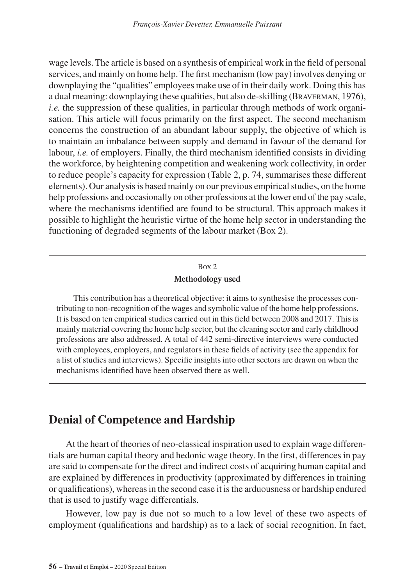wage levels. The article is based on a synthesis of empirical work in the field of personal services, and mainly on home help. The first mechanism (low pay) involves denying or downplaying the "qualities" employees make use of in their daily work. Doing this has a dual meaning: downplaying these qualities, but also de-skilling (Braverman, 1976), *i.e.* the suppression of these qualities, in particular through methods of work organisation. This article will focus primarily on the first aspect. The second mechanism concerns the construction of an abundant labour supply, the objective of which is to maintain an imbalance between supply and demand in favour of the demand for labour, *i.e.* of employers. Finally, the third mechanism identified consists in dividing the workforce, by heightening competition and weakening work collectivity, in order to reduce people's capacity for expression (Table 2, p. 74, summarises these different elements). Our analysis is based mainly on our previous empirical studies, on the home help professions and occasionally on other professions at the lower end of the pay scale, where the mechanisms identified are found to be structural. This approach makes it possible to highlight the heuristic virtue of the home help sector in understanding the functioning of degraded segments of the labour market (Box 2).

### Box 2 **Methodology used**

This contribution has a theoretical objective: it aims to synthesise the processes contributing to non-recognition of the wages and symbolic value of the home help professions. It is based on ten empirical studies carried out in this field between 2008 and 2017. This is mainly material covering the home help sector, but the cleaning sector and early childhood professions are also addressed. A total of 442 semi-directive interviews were conducted with employees, employers, and regulators in these fields of activity (see the appendix for a list of studies and interviews). Specific insights into other sectors are drawn on when the mechanisms identified have been observed there as well.

# **Denial of Competence and Hardship**

At the heart of theories of neo-classical inspiration used to explain wage differentials are human capital theory and hedonic wage theory. In the first, differences in pay are said to compensate for the direct and indirect costs of acquiring human capital and are explained by differences in productivity (approximated by differences in training or qualifications), whereas in the second case it is the arduousness or hardship endured that is used to justify wage differentials.

However, low pay is due not so much to a low level of these two aspects of employment (qualifications and hardship) as to a lack of social recognition. In fact,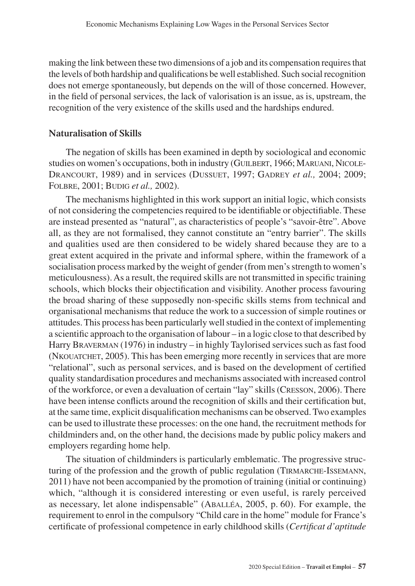making the link between these two dimensions of a job and its compensation requires that the levels of both hardship and qualifications be well established. Such social recognition does not emerge spontaneously, but depends on the will of those concerned. However, in the field of personal services, the lack of valorisation is an issue, as is, upstream, the recognition of the very existence of the skills used and the hardships endured.

#### **Naturalisation of Skills**

The negation of skills has been examined in depth by sociological and economic studies on women's occupations, both in industry (GUILBERT, 1966; MARUANI, NICOLE-Drancourt, 1989) and in services (Dussuet, 1997; Gadrey *et al.,* 2004; 2009; Folbre, 2001; Budig *et al.,* 2002).

The mechanisms highlighted in this work support an initial logic, which consists of not considering the competencies required to be identifiable or objectifiable. These are instead presented as "natural", as characteristics of people's "savoir-être". Above all, as they are not formalised, they cannot constitute an "entry barrier". The skills and qualities used are then considered to be widely shared because they are to a great extent acquired in the private and informal sphere, within the framework of a socialisation process marked by the weight of gender (from men's strength to women's meticulousness). As a result, the required skills are not transmitted in specific training schools, which blocks their objectification and visibility. Another process favouring the broad sharing of these supposedly non-specific skills stems from technical and organisational mechanisms that reduce the work to a succession of simple routines or attitudes. This process has been particularly well studied in the context of implementing a scientific approach to the organisation of labour – in a logic close to that described by Harry BRAVERMAN (1976) in industry – in highly Taylorised services such as fast food (NKOUATCHET, 2005). This has been emerging more recently in services that are more "relational", such as personal services, and is based on the development of certified quality standardisation procedures and mechanisms associated with increased control of the workforce, or even a devaluation of certain "lay" skills (Cresson, 2006). There have been intense conflicts around the recognition of skills and their certification but, at the same time, explicit disqualification mechanisms can be observed. Two examples can be used to illustrate these processes: on the one hand, the recruitment methods for childminders and, on the other hand, the decisions made by public policy makers and employers regarding home help.

The situation of childminders is particularly emblematic. The progressive structuring of the profession and the growth of public regulation (TIRMARCHE-ISSEMANN, 2011) have not been accompanied by the promotion of training (initial or continuing) which, "although it is considered interesting or even useful, is rarely perceived as necessary, let alone indispensable" (Aballéa, 2005, p. 60). For example, the requirement to enrol in the compulsory "Child care in the home" module for France's certificate of professional competence in early childhood skills (*Certificat d'aptitude*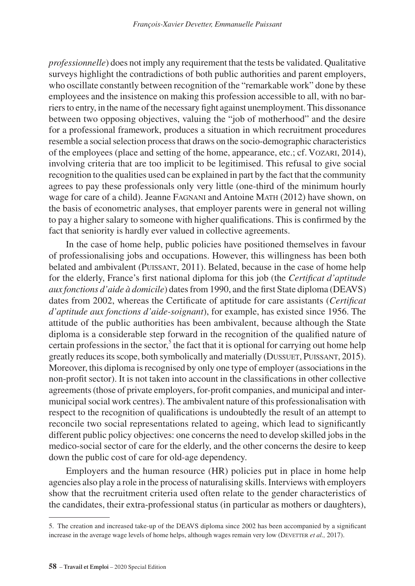*professionnelle*) does not imply any requirement that the tests be validated. Qualitative surveys highlight the contradictions of both public authorities and parent employers, who oscillate constantly between recognition of the "remarkable work" done by these employees and the insistence on making this profession accessible to all, with no barriers to entry, in the name of the necessary fight against unemployment. This dissonance between two opposing objectives, valuing the "job of motherhood" and the desire for a professional framework, produces a situation in which recruitment procedures resemble a social selection process that draws on the socio-demographic characteristics of the employees (place and setting of the home, appearance, etc.; cf. Vozari, 2014), involving criteria that are too implicit to be legitimised. This refusal to give social recognition to the qualities used can be explained in part by the fact that the community agrees to pay these professionals only very little (one-third of the minimum hourly wage for care of a child). Jeanne FAGNANI and Antoine MATH (2012) have shown, on the basis of econometric analyses, that employer parents were in general not willing to pay a higher salary to someone with higher qualifications. This is confirmed by the fact that seniority is hardly ever valued in collective agreements.

In the case of home help, public policies have positioned themselves in favour of professionalising jobs and occupations. However, this willingness has been both belated and ambivalent (PUISSANT, 2011). Belated, because in the case of home help for the elderly, France's first national diploma for this job (the *Certificat d'aptitude aux fonctions d'aide à domicile*) dates from 1990, and the first State diploma (DEAVS) dates from 2002, whereas the Certificate of aptitude for care assistants (*Certificat d'aptitude aux fonctions d'aide-soignant*), for example, has existed since 1956. The attitude of the public authorities has been ambivalent, because although the State diploma is a considerable step forward in the recognition of the qualified nature of certain professions in the sector,<sup>5</sup> the fact that it is optional for carrying out home help greatly reduces its scope, both symbolically and materially (Dussuet, Puissant, 2015). Moreover, this diploma is recognised by only one type of employer (associations in the non-profit sector). It is not taken into account in the classifications in other collective agreements (those of private employers, for-profit companies, and municipal and intermunicipal social work centres). The ambivalent nature of this professionalisation with respect to the recognition of qualifications is undoubtedly the result of an attempt to reconcile two social representations related to ageing, which lead to significantly different public policy objectives: one concerns the need to develop skilled jobs in the medico-social sector of care for the elderly, and the other concerns the desire to keep down the public cost of care for old-age dependency.

Employers and the human resource (HR) policies put in place in home help agencies also play a role in the process of naturalising skills. Interviews with employers show that the recruitment criteria used often relate to the gender characteristics of the candidates, their extra-professional status (in particular as mothers or daughters),

<sup>5.</sup> The creation and increased take-up of the DEAVS diploma since 2002 has been accompanied by a significant increase in the average wage levels of home helps, although wages remain very low (DEVETTER *et al.*, 2017).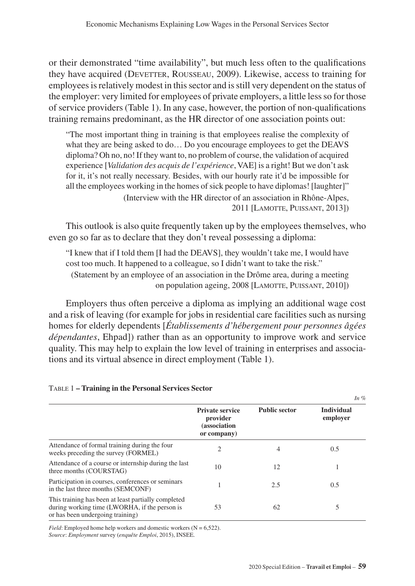or their demonstrated "time availability", but much less often to the qualifications they have acquired (DEVETTER, ROUSSEAU, 2009). Likewise, access to training for employees is relatively modest in this sector and is still very dependent on the status of the employer: very limited for employees of private employers, a little less so for those of service providers (Table 1). In any case, however, the portion of non-qualifications training remains predominant, as the HR director of one association points out:

"The most important thing in training is that employees realise the complexity of what they are being asked to do… Do you encourage employees to get the DEAVS diploma? Oh no, no! If they want to, no problem of course, the validation of acquired experience [*Validation des acquis de l'expérience*, VAE] is a right! But we don't ask for it, it's not really necessary. Besides, with our hourly rate it'd be impossible for all the employees working in the homes of sick people to have diplomas! [laughter]" (Interview with the HR director of an association in Rhône-Alpes, 2011 [Lamotte, Puissant, 2013])

This outlook is also quite frequently taken up by the employees themselves, who even go so far as to declare that they don't reveal possessing a diploma:

"I knew that if I told them [I had the DEAVS], they wouldn't take me, I would have cost too much. It happened to a colleague, so I didn't want to take the risk." (Statement by an employee of an association in the Drôme area, during a meeting on population ageing, 2008 [LAMOTTE, PUISSANT, 2010])

Employers thus often perceive a diploma as implying an additional wage cost and a risk of leaving (for example for jobs in residential care facilities such as nursing homes for elderly dependents [*Établissements d'hébergement pour personnes âgées dépendantes*, Ehpad]) rather than as an opportunity to improve work and service quality. This may help to explain the low level of training in enterprises and associations and its virtual absence in direct employment (Table 1).

|                                                                                                                                          |                                                                   |                      | In $%$                        |
|------------------------------------------------------------------------------------------------------------------------------------------|-------------------------------------------------------------------|----------------------|-------------------------------|
|                                                                                                                                          | <b>Private service</b><br>provider<br>(association<br>or company) | <b>Public sector</b> | <b>Individual</b><br>employer |
| Attendance of formal training during the four<br>weeks preceding the survey (FORMEL)                                                     | 2                                                                 | 4                    | 0.5                           |
| Attendance of a course or internship during the last<br>three months (COURSTAG)                                                          | 10                                                                | 12                   |                               |
| Participation in courses, conferences or seminars<br>in the last three months (SEMCONF)                                                  |                                                                   | 2.5                  | 0.5                           |
| This training has been at least partially completed<br>during working time (LWORHA, if the person is<br>or has been undergoing training) | 53                                                                | 62                   | 5                             |

#### Table 1 **– Training in the Personal Services Sector**

*Field*: Employed home help workers and domestic workers  $(N = 6,522)$ . *Source*: *Employment* survey (*enquête Emploi*, 2015), INSEE.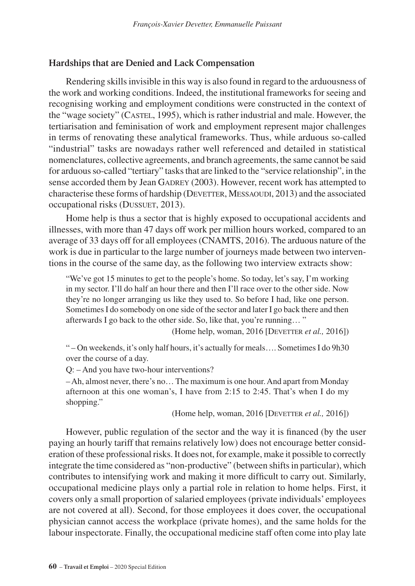### **Hardships that are Denied and Lack Compensation**

Rendering skills invisible in this way is also found in regard to the arduousness of the work and working conditions. Indeed, the institutional frameworks for seeing and recognising working and employment conditions were constructed in the context of the "wage society" (Castel, 1995), which is rather industrial and male. However, the tertiarisation and feminisation of work and employment represent major challenges in terms of renovating these analytical frameworks. Thus, while arduous so-called "industrial" tasks are nowadays rather well referenced and detailed in statistical nomenclatures, collective agreements, and branch agreements, the same cannot be said for arduous so-called "tertiary" tasks that are linked to the "service relationship", in the sense accorded them by Jean GADREY (2003). However, recent work has attempted to characterise these forms of hardship (DEVETTER, MESSAOUDI, 2013) and the associated occupational risks (DUSSUET, 2013).

Home help is thus a sector that is highly exposed to occupational accidents and illnesses, with more than 47 days off work per million hours worked, compared to an average of 33 days off for all employees (CNAMTS, 2016). The arduous nature of the work is due in particular to the large number of journeys made between two interventions in the course of the same day, as the following two interview extracts show:

"We've got 15 minutes to get to the people's home. So today, let's say, I'm working in my sector. I'll do half an hour there and then I'll race over to the other side. Now they're no longer arranging us like they used to. So before I had, like one person. Sometimes I do somebody on one side of the sector and later I go back there and then afterwards I go back to the other side. So, like that, you're running… "

(Home help, woman, 2016 [DEVETTER *et al.*, 2016])

" – On weekends, it's only half hours, it's actually for meals…. Sometimes I do 9h30 over the course of a day.

Q: – And you have two-hour interventions?

– Ah, almost never, there's no… The maximum is one hour. And apart from Monday afternoon at this one woman's, I have from 2:15 to 2:45. That's when I do my shopping."

(Home help, woman, 2016 [DEVETTER *et al.*, 2016])

However, public regulation of the sector and the way it is financed (by the user paying an hourly tariff that remains relatively low) does not encourage better consideration of these professional risks. It does not, for example, make it possible to correctly integrate the time considered as "non-productive" (between shifts in particular), which contributes to intensifying work and making it more difficult to carry out. Similarly, occupational medicine plays only a partial role in relation to home helps. First, it covers only a small proportion of salaried employees (private individuals' employees are not covered at all). Second, for those employees it does cover, the occupational physician cannot access the workplace (private homes), and the same holds for the labour inspectorate. Finally, the occupational medicine staff often come into play late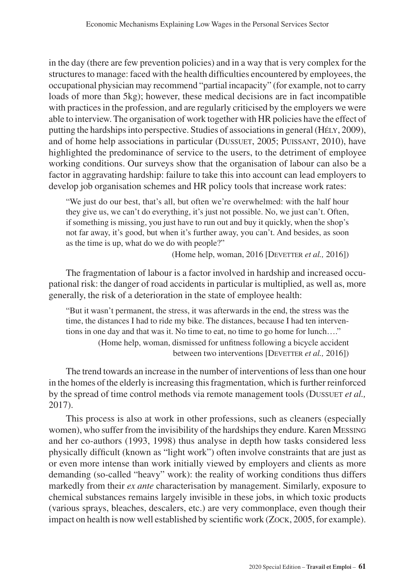in the day (there are few prevention policies) and in a way that is very complex for the structures to manage: faced with the health difficulties encountered by employees, the occupational physician may recommend "partial incapacity" (for example, not to carry loads of more than 5kg); however, these medical decisions are in fact incompatible with practices in the profession, and are regularly criticised by the employers we were able to interview. The organisation of work together with HR policies have the effect of putting the hardships into perspective. Studies of associations in general (HéLY, 2009), and of home help associations in particular (DUSSUET, 2005; PUISSANT, 2010), have highlighted the predominance of service to the users, to the detriment of employee working conditions. Our surveys show that the organisation of labour can also be a factor in aggravating hardship: failure to take this into account can lead employers to develop job organisation schemes and HR policy tools that increase work rates:

"We just do our best, that's all, but often we're overwhelmed: with the half hour they give us, we can't do everything, it's just not possible. No, we just can't. Often, if something is missing, you just have to run out and buy it quickly, when the shop's not far away, it's good, but when it's further away, you can't. And besides, as soon as the time is up, what do we do with people?"

(Home help, woman, 2016 [DEVETTER *et al.*, 2016])

The fragmentation of labour is a factor involved in hardship and increased occupational risk: the danger of road accidents in particular is multiplied, as well as, more generally, the risk of a deterioration in the state of employee health:

"But it wasn't permanent, the stress, it was afterwards in the end, the stress was the time, the distances I had to ride my bike. The distances, because I had ten interventions in one day and that was it. No time to eat, no time to go home for lunch…." (Home help, woman, dismissed for unfitness following a bicycle accident between two interventions [DEVETTER *et al.*, 2016])

The trend towards an increase in the number of interventions of less than one hour in the homes of the elderly is increasing this fragmentation, which is further reinforced by the spread of time control methods via remote management tools (Dussuet *et al.*, 2017).

This process is also at work in other professions, such as cleaners (especially women), who suffer from the invisibility of the hardships they endure. Karen Messing and her co-authors (1993, 1998) thus analyse in depth how tasks considered less physically difficult (known as "light work") often involve constraints that are just as or even more intense than work initially viewed by employers and clients as more demanding (so-called "heavy" work): the reality of working conditions thus differs markedly from their *ex ante* characterisation by management. Similarly, exposure to chemical substances remains largely invisible in these jobs, in which toxic products (various sprays, bleaches, descalers, etc.) are very commonplace, even though their impact on health is now well established by scientific work (Zock, 2005, for example).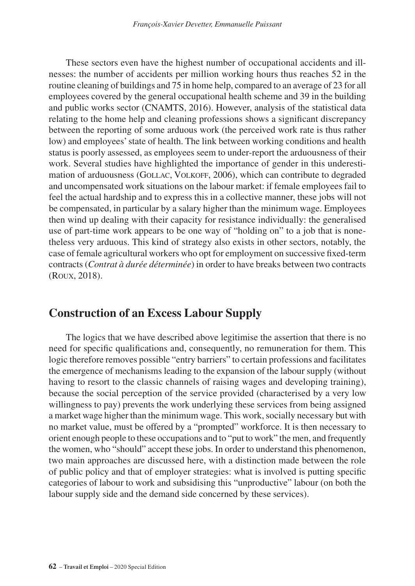These sectors even have the highest number of occupational accidents and illnesses: the number of accidents per million working hours thus reaches 52 in the routine cleaning of buildings and 75 in home help, compared to an average of 23 for all employees covered by the general occupational health scheme and 39 in the building and public works sector (CNAMTS, 2016). However, analysis of the statistical data relating to the home help and cleaning professions shows a significant discrepancy between the reporting of some arduous work (the perceived work rate is thus rather low) and employees' state of health. The link between working conditions and health status is poorly assessed, as employees seem to under-report the arduousness of their work. Several studies have highlighted the importance of gender in this underestimation of arduousness (GOLLAC, VOLKOFF, 2006), which can contribute to degraded and uncompensated work situations on the labour market: if female employees fail to feel the actual hardship and to express this in a collective manner, these jobs will not be compensated, in particular by a salary higher than the minimum wage. Employees then wind up dealing with their capacity for resistance individually: the generalised use of part-time work appears to be one way of "holding on" to a job that is nonetheless very arduous. This kind of strategy also exists in other sectors, notably, the case of female agricultural workers who opt for employment on successive fixed-term contracts (*Contrat à durée déterminée*) in order to have breaks between two contracts (Roux, 2018).

### **Construction of an Excess Labour Supply**

The logics that we have described above legitimise the assertion that there is no need for specific qualifications and, consequently, no remuneration for them. This logic therefore removes possible "entry barriers" to certain professions and facilitates the emergence of mechanisms leading to the expansion of the labour supply (without having to resort to the classic channels of raising wages and developing training), because the social perception of the service provided (characterised by a very low willingness to pay) prevents the work underlying these services from being assigned a market wage higher than the minimum wage. This work, socially necessary but with no market value, must be offered by a "prompted" workforce. It is then necessary to orient enough people to these occupations and to "put to work" the men, and frequently the women, who "should" accept these jobs. In order to understand this phenomenon, two main approaches are discussed here, with a distinction made between the role of public policy and that of employer strategies: what is involved is putting specific categories of labour to work and subsidising this "unproductive" labour (on both the labour supply side and the demand side concerned by these services).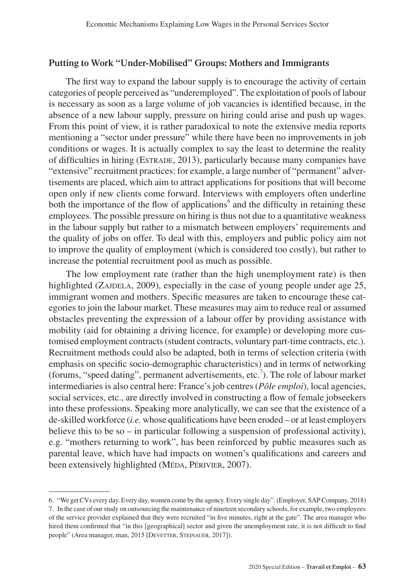### **Putting to Work "Under-Mobilised" Groups: Mothers and Immigrants**

The first way to expand the labour supply is to encourage the activity of certain categories of people perceived as "underemployed". The exploitation of pools of labour is necessary as soon as a large volume of job vacancies is identified because, in the absence of a new labour supply, pressure on hiring could arise and push up wages. From this point of view, it is rather paradoxical to note the extensive media reports mentioning a "sector under pressure" while there have been no improvements in job conditions or wages. It is actually complex to say the least to determine the reality of difficulties in hiring (Estrade, 2013), particularly because many companies have "extensive" recruitment practices: for example, a large number of "permanent" advertisements are placed, which aim to attract applications for positions that will become open only if new clients come forward. Interviews with employers often underline both the importance of the flow of applications<sup>6</sup> and the difficulty in retaining these employees. The possible pressure on hiring is thus not due to a quantitative weakness in the labour supply but rather to a mismatch between employers' requirements and the quality of jobs on offer. To deal with this, employers and public policy aim not to improve the quality of employment (which is considered too costly), but rather to increase the potential recruitment pool as much as possible.

The low employment rate (rather than the high unemployment rate) is then highlighted (ZAJDELA, 2009), especially in the case of young people under age 25, immigrant women and mothers. Specific measures are taken to encourage these categories to join the labour market. These measures may aim to reduce real or assumed obstacles preventing the expression of a labour offer by providing assistance with mobility (aid for obtaining a driving licence, for example) or developing more customised employment contracts (student contracts, voluntary part-time contracts, etc.). Recruitment methods could also be adapted, both in terms of selection criteria (with emphasis on specific socio-demographic characteristics) and in terms of networking (forums, "speed dating", permanent advertisements, etc.<sup>7</sup>). The role of labour market intermediaries is also central here: France's job centres (*Pôle emploi*), local agencies, social services, etc., are directly involved in constructing a flow of female jobseekers into these professions. Speaking more analytically, we can see that the existence of a de-skilled workforce (*i.e.* whose qualifications have been eroded – or at least employers believe this to be so – in particular following a suspension of professional activity), e.g. "mothers returning to work", has been reinforced by public measures such as parental leave, which have had impacts on women's qualifications and careers and been extensively highlighted (MÉDA, PÉRIVIER, 2007).

<sup>6.</sup> "We get CVs every day. Every day, women come by the agency. Every single day". (Employer, SAP Company, 2018) 7. In the case of our study on outsourcing the maintenance of nineteen secondary schools, for example, two employees of the service provider explained that they were recruited "in five minutes, right at the gate". The area manager who hired them confirmed that "in this [geographical] sector and given the unemployment rate, it is not difficult to find people" (Area manager, man, 2015 [DEVETTER, STEINAUER, 2017]).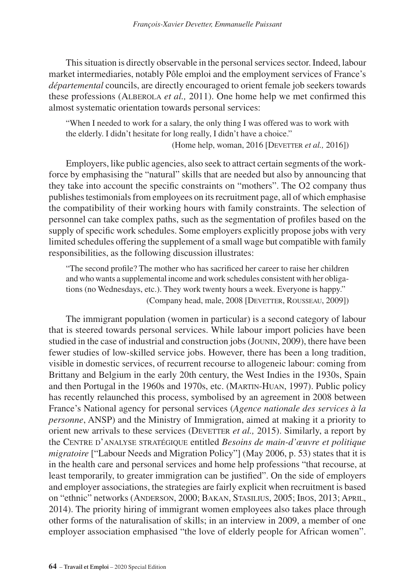This situation is directly observable in the personal services sector. Indeed, labour market intermediaries, notably Pôle emploi and the employment services of France's *départemental* councils, are directly encouraged to orient female job seekers towards these professions (Alberola *et al.,* 2011). One home help we met confirmed this almost systematic orientation towards personal services:

"When I needed to work for a salary, the only thing I was offered was to work with the elderly. I didn't hesitate for long really, I didn't have a choice."

(Home help, woman, 2016 [Devetter *et al.,* 2016])

Employers, like public agencies, also seek to attract certain segments of the workforce by emphasising the "natural" skills that are needed but also by announcing that they take into account the specific constraints on "mothers". The O2 company thus publishes testimonials from employees on its recruitment page, all of which emphasise the compatibility of their working hours with family constraints. The selection of personnel can take complex paths, such as the segmentation of profiles based on the supply of specific work schedules. Some employers explicitly propose jobs with very limited schedules offering the supplement of a small wage but compatible with family responsibilities, as the following discussion illustrates:

"The second profile? The mother who has sacrificed her career to raise her children and who wants a supplemental income and work schedules consistent with her obligations (no Wednesdays, etc.). They work twenty hours a week. Everyone is happy." (Company head, male, 2008 [Devetter, Rousseau, 2009])

The immigrant population (women in particular) is a second category of labour that is steered towards personal services. While labour import policies have been studied in the case of industrial and construction jobs (Jounin, 2009), there have been fewer studies of low-skilled service jobs. However, there has been a long tradition, visible in domestic services, of recurrent recourse to allogeneic labour: coming from Brittany and Belgium in the early 20th century, the West Indies in the 1930s, Spain and then Portugal in the 1960s and 1970s, etc. (Martin-Huan, 1997). Public policy has recently relaunched this process, symbolised by an agreement in 2008 between France's National agency for personal services (*Agence nationale des services à la personne*, ANSP) and the Ministry of Immigration, aimed at making it a priority to orient new arrivals to these services (DEVETTER *et al.*, 2015). Similarly, a report by the Centre d'analyse stratégique entitled *Besoins de main-d'œuvre et politique migratoire* ["Labour Needs and Migration Policy"] (May 2006, p. 53) states that it is in the health care and personal services and home help professions "that recourse, at least temporarily, to greater immigration can be justified". On the side of employers and employer associations, the strategies are fairly explicit when recruitment is based on "ethnic" networks (Anderson, 2000; Bakan, Stasilius, 2005; Ibos, 2013; April, 2014). The priority hiring of immigrant women employees also takes place through other forms of the naturalisation of skills; in an interview in 2009, a member of one employer association emphasised "the love of elderly people for African women".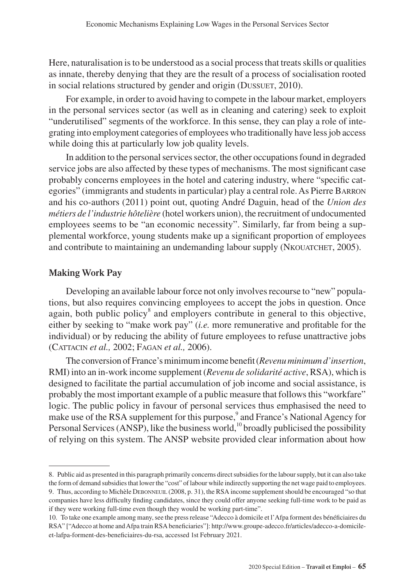Here, naturalisation is to be understood as a social process that treats skills or qualities as innate, thereby denying that they are the result of a process of socialisation rooted in social relations structured by gender and origin (DUSSUET, 2010).

For example, in order to avoid having to compete in the labour market, employers in the personal services sector (as well as in cleaning and catering) seek to exploit "underutilised" segments of the workforce. In this sense, they can play a role of integrating into employment categories of employees who traditionally have less job access while doing this at particularly low job quality levels.

In addition to the personal services sector, the other occupations found in degraded service jobs are also affected by these types of mechanisms. The most significant case probably concerns employees in the hotel and catering industry, where "specific categories" (immigrants and students in particular) play a central role. As Pierre Barron and his co-authors (2011) point out, quoting André Daguin, head of the *Union des métiers de l'industrie hôtelière* (hotel workers union), the recruitment of undocumented employees seems to be "an economic necessity". Similarly, far from being a supplemental workforce, young students make up a significant proportion of employees and contribute to maintaining an undemanding labour supply (NKOUATCHET, 2005).

#### **Making Work Pay**

Developing an available labour force not only involves recourse to "new" populations, but also requires convincing employees to accept the jobs in question. Once again, both public policy<sup>8</sup> and employers contribute in general to this objective, either by seeking to "make work pay" (*i.e.* more remunerative and profitable for the individual) or by reducing the ability of future employees to refuse unattractive jobs (Cattacin *et al.,* 2002; Fagan *et al.,* 2006).

The conversion of France's minimum income benefit (*Revenu minimum d'insertion*, RMI) into an in-work income supplement (*Revenu de solidarité active*, RSA), which is designed to facilitate the partial accumulation of job income and social assistance, is probably the most important example of a public measure that follows this "workfare" logic. The public policy in favour of personal services thus emphasised the need to make use of the RSA supplement for this purpose,<sup>9</sup> and France's National Agency for Personal Services (ANSP), like the business world,<sup>10</sup> broadly publicised the possibility of relying on this system. The ANSP website provided clear information about how

<sup>8.</sup> Public aid as presented in this paragraph primarily concerns direct subsidies for the labour supply, but it can also take the form of demand subsidies that lower the "cost" of labour while indirectly supporting the net wage paid to employees. 9. Thus, according to Michèle Debonneuil (2008, p. 31), the RSA income supplement should be encouraged "so that companies have less difficulty finding candidates, since they could offer anyone seeking full-time work to be paid as

if they were working full-time even though they would be working part-time".

<sup>10.</sup> To take one example among many, see the press release "Adecco à domicile et l'Afpa forment des bénéficiaires du RSA" ["Adecco at home and Afpa train RSA beneficiaries"]: [http://www.groupe-adecco.fr/articles/adecco-a-domicile](http://www.groupe-adecco.fr/articles/adecco-a-domicile-et-lafpa-forment-des-beneficiaires-du-rsa)[et-lafpa-forment-des-beneficiaires-du-rsa](http://www.groupe-adecco.fr/articles/adecco-a-domicile-et-lafpa-forment-des-beneficiaires-du-rsa), accessed 1st February 2021.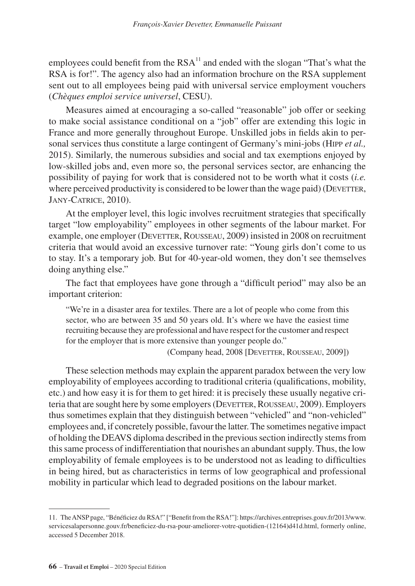employees could benefit from the  $RSA^{11}$  and ended with the slogan "That's what the RSA is for!". The agency also had an information brochure on the RSA supplement sent out to all employees being paid with universal service employment vouchers (*Chèques emploi service universel*, CESU).

Measures aimed at encouraging a so-called "reasonable" job offer or seeking to make social assistance conditional on a "job" offer are extending this logic in France and more generally throughout Europe. Unskilled jobs in fields akin to personal services thus constitute a large contingent of Germany's mini-jobs (Hipp *et al.,* 2015). Similarly, the numerous subsidies and social and tax exemptions enjoyed by low-skilled jobs and, even more so, the personal services sector, are enhancing the possibility of paying for work that is considered not to be worth what it costs (*i.e.* where perceived productivity is considered to be lower than the wage paid) ( $D$ EVETTER, Jany-Catrice, 2010).

At the employer level, this logic involves recruitment strategies that specifically target "low employability" employees in other segments of the labour market. For example, one employer (DEVETTER, ROUSSEAU, 2009) insisted in 2008 on recruitment criteria that would avoid an excessive turnover rate: "Young girls don't come to us to stay. It's a temporary job. But for 40-year-old women, they don't see themselves doing anything else."

The fact that employees have gone through a "difficult period" may also be an important criterion:

"We're in a disaster area for textiles. There are a lot of people who come from this sector, who are between 35 and 50 years old. It's where we have the easiest time recruiting because they are professional and have respect for the customer and respect for the employer that is more extensive than younger people do."

(Company head, 2008 [Devetter, Rousseau, 2009])

These selection methods may explain the apparent paradox between the very low employability of employees according to traditional criteria (qualifications, mobility, etc.) and how easy it is for them to get hired: it is precisely these usually negative criteria that are sought here by some employers (DEVETTER, ROUSSEAU, 2009). Employers thus sometimes explain that they distinguish between "vehicled" and "non-vehicled" employees and, if concretely possible, favour the latter. The sometimes negative impact of holding the DEAVS diploma described in the previous section indirectly stems from this same process of indifferentiation that nourishes an abundant supply. Thus, the low employability of female employees is to be understood not as leading to difficulties in being hired, but as characteristics in terms of low geographical and professional mobility in particular which lead to degraded positions on the labour market.

<sup>11.</sup> The ANSP page, "Bénéficiez du RSA!" ["Benefit from the RSA!"]: [https://archives.entreprises.gouv.fr/2013/www.](https://archives.entreprises.gouv.fr/2013/www.servicesalapersonne.gouv.fr/beneficiez-du-rsa-pour-ameliorer-votre-quotidien-(12164)d41d.html) [servicesalapersonne.gouv.fr/beneficiez-du-rsa-pour-ameliorer-votre-quotidien-\(12164\)d41d.html](https://archives.entreprises.gouv.fr/2013/www.servicesalapersonne.gouv.fr/beneficiez-du-rsa-pour-ameliorer-votre-quotidien-(12164)d41d.html), formerly online, accessed 5 December 2018.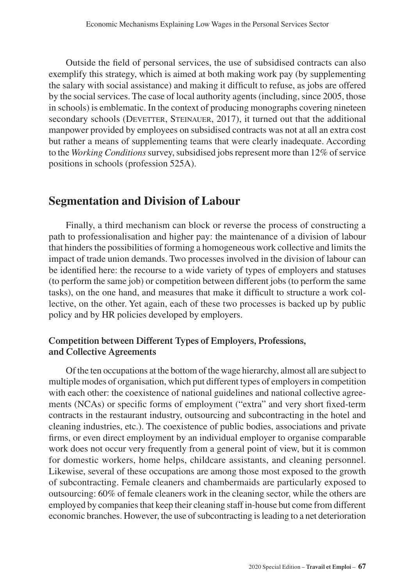Outside the field of personal services, the use of subsidised contracts can also exemplify this strategy, which is aimed at both making work pay (by supplementing the salary with social assistance) and making it difficult to refuse, as jobs are offered by the social services. The case of local authority agents (including, since 2005, those in schools) is emblematic. In the context of producing monographs covering nineteen secondary schools (DEVETTER, STEINAUER, 2017), it turned out that the additional manpower provided by employees on subsidised contracts was not at all an extra cost but rather a means of supplementing teams that were clearly inadequate. According to the *Working Conditions* survey, subsidised jobs represent more than 12% of service positions in schools (profession 525A).

### **Segmentation and Division of Labour**

Finally, a third mechanism can block or reverse the process of constructing a path to professionalisation and higher pay: the maintenance of a division of labour that hinders the possibilities of forming a homogeneous work collective and limits the impact of trade union demands. Two processes involved in the division of labour can be identified here: the recourse to a wide variety of types of employers and statuses (to perform the same job) or competition between different jobs (to perform the same tasks), on the one hand, and measures that make it difficult to structure a work collective, on the other. Yet again, each of these two processes is backed up by public policy and by HR policies developed by employers.

### **Competition between Different Types of Employers, Professions, and Collective Agreements**

Of the ten occupations at the bottom of the wage hierarchy, almost all are subject to multiple modes of organisation, which put different types of employers in competition with each other: the coexistence of national guidelines and national collective agreements (NCAs) or specific forms of employment ("extra" and very short fixed-term contracts in the restaurant industry, outsourcing and subcontracting in the hotel and cleaning industries, etc.). The coexistence of public bodies, associations and private firms, or even direct employment by an individual employer to organise comparable work does not occur very frequently from a general point of view, but it is common for domestic workers, home helps, childcare assistants, and cleaning personnel. Likewise, several of these occupations are among those most exposed to the growth of subcontracting. Female cleaners and chambermaids are particularly exposed to outsourcing: 60% of female cleaners work in the cleaning sector, while the others are employed by companies that keep their cleaning staff in-house but come from different economic branches. However, the use of subcontracting is leading to a net deterioration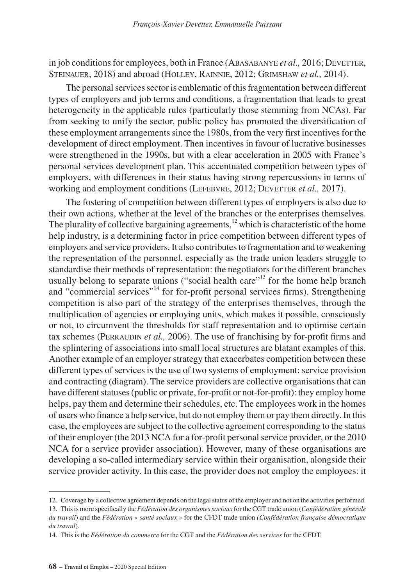in job conditions for employees, both in France (ABASABANYE *et al.*, 2016; DEVETTER, STEINAUER, 2018) and abroad (HOLLEY, RAINNIE, 2012; GRIMSHAW et al., 2014).

The personal services sector is emblematic of this fragmentation between different types of employers and job terms and conditions, a fragmentation that leads to great heterogeneity in the applicable rules (particularly those stemming from NCAs). Far from seeking to unify the sector, public policy has promoted the diversification of these employment arrangements since the 1980s, from the very first incentives for the development of direct employment. Then incentives in favour of lucrative businesses were strengthened in the 1990s, but with a clear acceleration in 2005 with France's personal services development plan. This accentuated competition between types of employers, with differences in their status having strong repercussions in terms of working and employment conditions (LEFEBVRE, 2012; DEVETTER *et al.*, 2017).

The fostering of competition between different types of employers is also due to their own actions, whether at the level of the branches or the enterprises themselves. The plurality of collective bargaining agreements, $12$  which is characteristic of the home help industry, is a determining factor in price competition between different types of employers and service providers. It also contributes to fragmentation and to weakening the representation of the personnel, especially as the trade union leaders struggle to standardise their methods of representation: the negotiators for the different branches usually belong to separate unions ("social health care"<sup>13</sup> for the home help branch and "commercial services"14 for for-profit personal services firms). Strengthening competition is also part of the strategy of the enterprises themselves, through the multiplication of agencies or employing units, which makes it possible, consciously or not, to circumvent the thresholds for staff representation and to optimise certain tax schemes (PERRAUDIN *et al.*, 2006). The use of franchising by for-profit firms and the splintering of associations into small local structures are blatant examples of this. Another example of an employer strategy that exacerbates competition between these different types of services is the use of two systems of employment: service provision and contracting (diagram). The service providers are collective organisations that can have different statuses (public or private, for-profit or not-for-profit): they employ home helps, pay them and determine their schedules, etc. The employees work in the homes of users who finance a help service, but do not employ them or pay them directly. In this case, the employees are subject to the collective agreement corresponding to the status of their employer (the 2013 NCA for a for-profit personal service provider, or the 2010 NCA for a service provider association). However, many of these organisations are developing a so-called intermediary service within their organisation, alongside their service provider activity. In this case, the provider does not employ the employees: it

<sup>12.</sup> Coverage by a collective agreement depends on the legal status of the employer and not on the activities performed.

<sup>13.</sup> This is more specifically the *Fédération des organismes sociaux* for the CGT trade union (*Confédération générale du travail*) and the *Fédération « santé sociaux »* for the CFDT trade union *(Confédération française démocratique du travail*).

<sup>14.</sup> This is the *Fédération du commerce* for the CGT and the *Fédération des services* for the CFDT.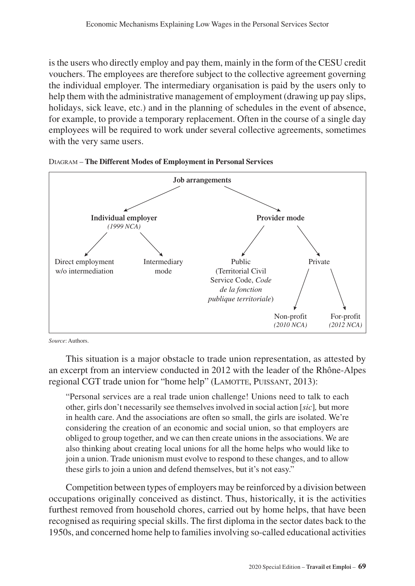is the users who directly employ and pay them, mainly in the form of the CESU credit vouchers. The employees are therefore subject to the collective agreement governing the individual employer. The intermediary organisation is paid by the users only to help them with the administrative management of employment (drawing up pay slips, holidays, sick leave, etc.) and in the planning of schedules in the event of absence, for example, to provide a temporary replacement. Often in the course of a single day employees will be required to work under several collective agreements, sometimes with the very same users.





*Source*: Authors.

This situation is a major obstacle to trade union representation, as attested by an excerpt from an interview conducted in 2012 with the leader of the Rhône-Alpes regional CGT trade union for "home help" (LAMOTTE, PUISSANT, 2013):

"Personal services are a real trade union challenge! Unions need to talk to each other, girls don't necessarily see themselves involved in social action [*sic*]*,* but more in health care. And the associations are often so small, the girls are isolated. We're considering the creation of an economic and social union, so that employers are obliged to group together, and we can then create unions in the associations. We are also thinking about creating local unions for all the home helps who would like to join a union. Trade unionism must evolve to respond to these changes, and to allow these girls to join a union and defend themselves, but it's not easy."

Competition between types of employers may be reinforced by a division between occupations originally conceived as distinct. Thus, historically, it is the activities furthest removed from household chores, carried out by home helps, that have been recognised as requiring special skills. The first diploma in the sector dates back to the 1950s, and concerned home help to families involving so-called educational activities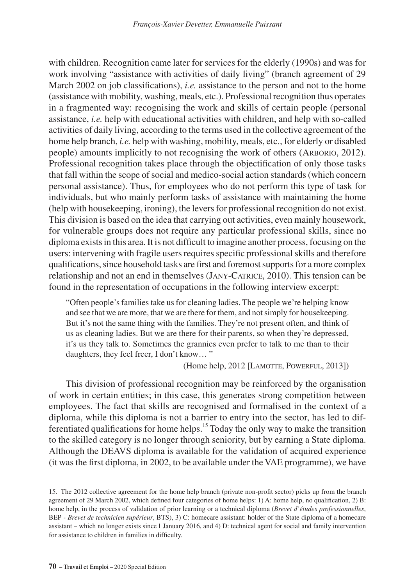with children. Recognition came later for services for the elderly (1990s) and was for work involving "assistance with activities of daily living" (branch agreement of 29 March 2002 on job classifications), *i.e.* assistance to the person and not to the home (assistance with mobility, washing, meals, etc.). Professional recognition thus operates in a fragmented way: recognising the work and skills of certain people (personal assistance, *i.e.* help with educational activities with children, and help with so-called activities of daily living, according to the terms used in the collective agreement of the home help branch, *i.e.* help with washing, mobility, meals, etc., for elderly or disabled people) amounts implicitly to not recognising the work of others (Arborio, 2012). Professional recognition takes place through the objectification of only those tasks that fall within the scope of social and medico-social action standards (which concern personal assistance). Thus, for employees who do not perform this type of task for individuals, but who mainly perform tasks of assistance with maintaining the home (help with housekeeping, ironing), the levers for professional recognition do not exist. This division is based on the idea that carrying out activities, even mainly housework, for vulnerable groups does not require any particular professional skills, since no diploma exists in this area. It is not difficult to imagine another process, focusing on the users: intervening with fragile users requires specific professional skills and therefore qualifications, since household tasks are first and foremost supports for a more complex relationship and not an end in themselves (Jany-Catrice, 2010). This tension can be found in the representation of occupations in the following interview excerpt:

"Often people's families take us for cleaning ladies. The people we're helping know and see that we are more, that we are there for them, and not simply for housekeeping. But it's not the same thing with the families. They're not present often, and think of us as cleaning ladies. But we are there for their parents, so when they're depressed, it's us they talk to. Sometimes the grannies even prefer to talk to me than to their daughters, they feel freer, I don't know… "

(Home help, 2012 [LAMOTTE, POWERFUL, 2013])

This division of professional recognition may be reinforced by the organisation of work in certain entities; in this case, this generates strong competition between employees. The fact that skills are recognised and formalised in the context of a diploma, while this diploma is not a barrier to entry into the sector, has led to differentiated qualifications for home helps.15 Today the only way to make the transition to the skilled category is no longer through seniority, but by earning a State diploma. Although the DEAVS diploma is available for the validation of acquired experience (it was the first diploma, in 2002, to be available under the VAE programme), we have

<sup>15.</sup> The 2012 collective agreement for the home help branch (private non-profit sector) picks up from the branch agreement of 29 March 2002, which defined four categories of home helps: 1) A: home help, no qualification, 2) B: home help, in the process of validation of prior learning or a technical diploma (*Brevet d'études professionnelles*, BEP *- Brevet de technicien supérieur*, BTS), 3) C: homecare assistant: holder of the State diploma of a homecare assistant – which no longer exists since 1 January 2016, and 4) D: technical agent for social and family intervention for assistance to children in families in difficulty.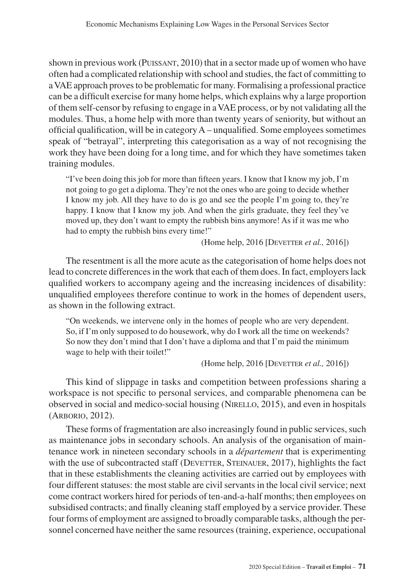shown in previous work (PUISSANT, 2010) that in a sector made up of women who have often had a complicated relationship with school and studies, the fact of committing to a VAE approach proves to be problematic for many. Formalising a professional practice can be a difficult exercise for many home helps, which explains why a large proportion of them self-censor by refusing to engage in a VAE process, or by not validating all the modules. Thus, a home help with more than twenty years of seniority, but without an official qualification, will be in category A – unqualified. Some employees sometimes speak of "betrayal", interpreting this categorisation as a way of not recognising the work they have been doing for a long time, and for which they have sometimes taken training modules.

"I've been doing this job for more than fifteen years. I know that I know my job, I'm not going to go get a diploma. They're not the ones who are going to decide whether I know my job. All they have to do is go and see the people I'm going to, they're happy. I know that I know my job. And when the girls graduate, they feel they've moved up, they don't want to empty the rubbish bins anymore! As if it was me who had to empty the rubbish bins every time!"

(Home help, 2016 [DEVETTER *et al.*, 2016])

The resentment is all the more acute as the categorisation of home helps does not lead to concrete differences in the work that each of them does. In fact, employers lack qualified workers to accompany ageing and the increasing incidences of disability: unqualified employees therefore continue to work in the homes of dependent users, as shown in the following extract.

"On weekends, we intervene only in the homes of people who are very dependent. So, if I'm only supposed to do housework, why do I work all the time on weekends? So now they don't mind that I don't have a diploma and that I'm paid the minimum wage to help with their toilet!"

(Home help, 2016 [Devetter *et al.,* 2016])

This kind of slippage in tasks and competition between professions sharing a workspace is not specific to personal services, and comparable phenomena can be observed in social and medico-social housing (NIRELLO, 2015), and even in hospitals (Arborio, 2012).

These forms of fragmentation are also increasingly found in public services, such as maintenance jobs in secondary schools. An analysis of the organisation of maintenance work in nineteen secondary schools in a *département* that is experimenting with the use of subcontracted staff (DEVETTER, STEINAUER, 2017), highlights the fact that in these establishments the cleaning activities are carried out by employees with four different statuses: the most stable are civil servants in the local civil service; next come contract workers hired for periods of ten-and-a-half months; then employees on subsidised contracts; and finally cleaning staff employed by a service provider. These four forms of employment are assigned to broadly comparable tasks, although the personnel concerned have neither the same resources (training, experience, occupational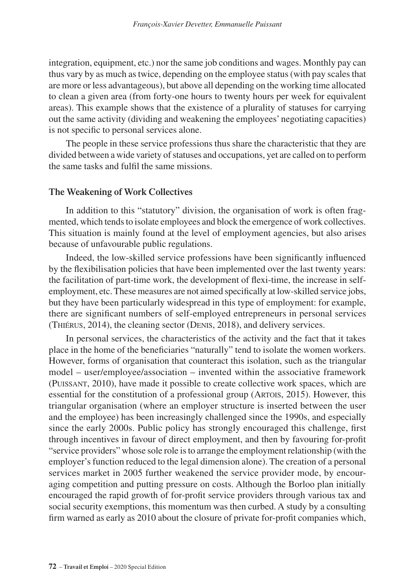integration, equipment, etc.) nor the same job conditions and wages. Monthly pay can thus vary by as much as twice, depending on the employee status (with pay scales that are more or less advantageous), but above all depending on the working time allocated to clean a given area (from forty-one hours to twenty hours per week for equivalent areas). This example shows that the existence of a plurality of statuses for carrying out the same activity (dividing and weakening the employees' negotiating capacities) is not specific to personal services alone.

The people in these service professions thus share the characteristic that they are divided between a wide variety of statuses and occupations, yet are called on to perform the same tasks and fulfil the same missions.

### **The Weakening of Work Collectives**

In addition to this "statutory" division, the organisation of work is often fragmented, which tends to isolate employees and block the emergence of work collectives. This situation is mainly found at the level of employment agencies, but also arises because of unfavourable public regulations.

Indeed, the low-skilled service professions have been significantly influenced by the flexibilisation policies that have been implemented over the last twenty years: the facilitation of part-time work, the development of flexi-time, the increase in selfemployment, etc. These measures are not aimed specifically at low-skilled service jobs, but they have been particularly widespread in this type of employment: for example, there are significant numbers of self-employed entrepreneurs in personal services (Thiérus, 2014), the cleaning sector (Denis, 2018), and delivery services.

In personal services, the characteristics of the activity and the fact that it takes place in the home of the beneficiaries "naturally" tend to isolate the women workers. However, forms of organisation that counteract this isolation, such as the triangular model – user/employee/association – invented within the associative framework (Puissant, 2010), have made it possible to create collective work spaces, which are essential for the constitution of a professional group (ARTOIS, 2015). However, this triangular organisation (where an employer structure is inserted between the user and the employee) has been increasingly challenged since the 1990s, and especially since the early 2000s. Public policy has strongly encouraged this challenge, first through incentives in favour of direct employment, and then by favouring for-profit "service providers" whose sole role is to arrange the employment relationship (with the employer's function reduced to the legal dimension alone). The creation of a personal services market in 2005 further weakened the service provider mode, by encouraging competition and putting pressure on costs. Although the Borloo plan initially encouraged the rapid growth of for-profit service providers through various tax and social security exemptions, this momentum was then curbed. A study by a consulting firm warned as early as 2010 about the closure of private for-profit companies which,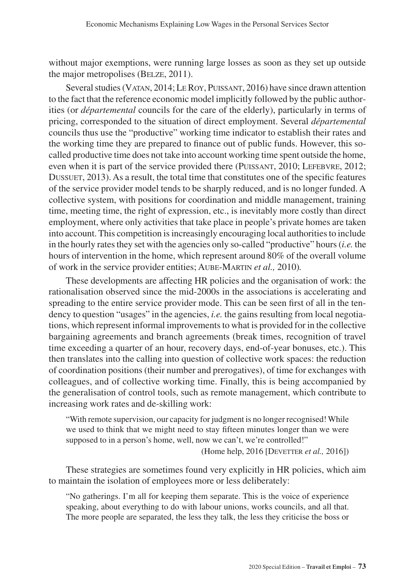without major exemptions, were running large losses as soon as they set up outside the major metropolises (Belze, 2011).

Several studies (Vatan, 2014; LeRoy, Puissant, 2016) have since drawn attention to the fact that the reference economic model implicitly followed by the public authorities (or *départemental* councils for the care of the elderly), particularly in terms of pricing, corresponded to the situation of direct employment. Several *départemental* councils thus use the "productive" working time indicator to establish their rates and the working time they are prepared to finance out of public funds. However, this socalled productive time does not take into account working time spent outside the home, even when it is part of the service provided there (PUISSANT, 2010; LEFEBVRE, 2012; DUSSUET, 2013). As a result, the total time that constitutes one of the specific features of the service provider model tends to be sharply reduced, and is no longer funded. A collective system, with positions for coordination and middle management, training time, meeting time, the right of expression, etc., is inevitably more costly than direct employment, where only activities that take place in people's private homes are taken into account. This competition is increasingly encouraging local authorities to include in the hourly rates they set with the agencies only so-called "productive" hours (*i.e.* the hours of intervention in the home, which represent around 80% of the overall volume of work in the service provider entities; Aube-Martin *et al.,* 2010)*.*

These developments are affecting HR policies and the organisation of work: the rationalisation observed since the mid-2000s in the associations is accelerating and spreading to the entire service provider mode. This can be seen first of all in the tendency to question "usages" in the agencies, *i.e.* the gains resulting from local negotiations, which represent informal improvements to what is provided for in the collective bargaining agreements and branch agreements (break times, recognition of travel time exceeding a quarter of an hour, recovery days, end-of-year bonuses, etc.). This then translates into the calling into question of collective work spaces: the reduction of coordination positions (their number and prerogatives), of time for exchanges with colleagues, and of collective working time. Finally, this is being accompanied by the generalisation of control tools, such as remote management, which contribute to increasing work rates and de-skilling work:

"With remote supervision, our capacity for judgment is no longer recognised! While we used to think that we might need to stay fifteen minutes longer than we were supposed to in a person's home, well, now we can't, we're controlled!"

(Home help, 2016 [DEVETTER *et al.*, 2016])

These strategies are sometimes found very explicitly in HR policies, which aim to maintain the isolation of employees more or less deliberately:

"No gatherings. I'm all for keeping them separate. This is the voice of experience speaking, about everything to do with labour unions, works councils, and all that. The more people are separated, the less they talk, the less they criticise the boss or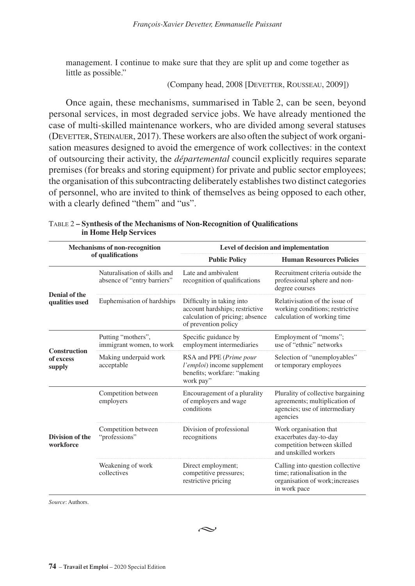management. I continue to make sure that they are split up and come together as little as possible."

(Company head, 2008 [Devetter, Rousseau, 2009])

Once again, these mechanisms, summarised in Table 2, can be seen, beyond personal services, in most degraded service jobs. We have already mentioned the case of multi-skilled maintenance workers, who are divided among several statuses (DEVETTER, STEINAUER, 2017). These workers are also often the subject of work organisation measures designed to avoid the emergence of work collectives: in the context of outsourcing their activity, the *départemental* council explicitly requires separate premises (for breaks and storing equipment) for private and public sector employees; the organisation of this subcontracting deliberately establishes two distinct categories of personnel, who are invited to think of themselves as being opposed to each other, with a clearly defined "them" and "us".

|                                     | Mechanisms of non-recognition                               |                                                                                                                        | Level of decision and implementation                                                                                |
|-------------------------------------|-------------------------------------------------------------|------------------------------------------------------------------------------------------------------------------------|---------------------------------------------------------------------------------------------------------------------|
|                                     | of qualifications                                           | <b>Public Policy</b>                                                                                                   | <b>Human Resources Policies</b>                                                                                     |
|                                     | Naturalisation of skills and<br>absence of "entry barriers" | Late and ambivalent<br>recognition of qualifications                                                                   | Recruitment criteria outside the<br>professional sphere and non-<br>degree courses                                  |
| Denial of the<br>qualities used     | Euphemisation of hardships                                  | Difficulty in taking into<br>account hardships; restrictive<br>calculation of pricing; absence<br>of prevention policy | Relativisation of the issue of<br>working conditions; restrictive<br>calculation of working time                    |
| <b>Construction</b>                 | Putting "mothers",<br>immigrant women, to work              | Specific guidance by<br>employment intermediaries                                                                      | Employment of "moms";<br>use of "ethnic" networks                                                                   |
| of excess<br>supply                 | Making underpaid work<br>acceptable                         | RSA and PPE (Prime pour<br>l'emploi) income supplement<br>benefits; workfare: "making<br>work pay"                     | Selection of "unemployables"<br>or temporary employees                                                              |
|                                     | Competition between<br>employers                            | Encouragement of a plurality<br>of employers and wage<br>conditions                                                    | Plurality of collective bargaining<br>agreements; multiplication of<br>agencies; use of intermediary<br>agencies    |
| <b>Division of the</b><br>workforce | Competition between<br>"professions"                        | Division of professional<br>recognitions                                                                               | Work organisation that<br>exacerbates day-to-day<br>competition between skilled<br>and unskilled workers            |
|                                     | Weakening of work<br>collectives                            | Direct employment;<br>competitive pressures;<br>restrictive pricing                                                    | Calling into question collective<br>time: rationalisation in the<br>organisation of work; increases<br>in work pace |

|                       | TABLE 2 – Synthesis of the Mechanisms of Non-Recognition of Qualifications |
|-----------------------|----------------------------------------------------------------------------|
| in Home Help Services |                                                                            |

*Source*: Authors.

$$
\;\;\mathrel{\sim}\;
$$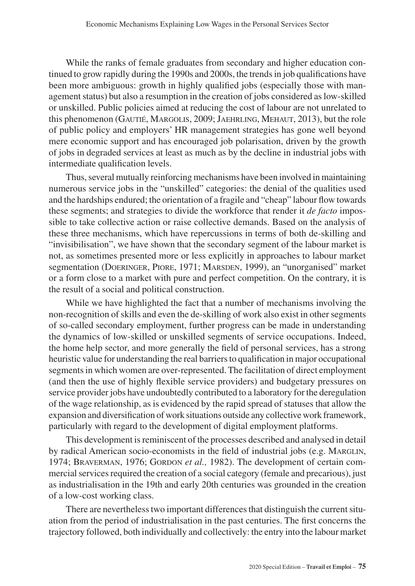While the ranks of female graduates from secondary and higher education continued to grow rapidly during the 1990s and 2000s, the trends in job qualifications have been more ambiguous: growth in highly qualified jobs (especially those with management status) but also a resumption in the creation of jobs considered as low-skilled or unskilled. Public policies aimed at reducing the cost of labour are not unrelated to this phenomenon (Gautié, Margolis, 2009; Jaehrling, Mehaut, 2013), but the role of public policy and employers' HR management strategies has gone well beyond mere economic support and has encouraged job polarisation, driven by the growth of jobs in degraded services at least as much as by the decline in industrial jobs with intermediate qualification levels.

Thus, several mutually reinforcing mechanisms have been involved in maintaining numerous service jobs in the "unskilled" categories: the denial of the qualities used and the hardships endured; the orientation of a fragile and "cheap" labour flow towards these segments; and strategies to divide the workforce that render it *de facto* impossible to take collective action or raise collective demands. Based on the analysis of these three mechanisms, which have repercussions in terms of both de-skilling and "invisibilisation", we have shown that the secondary segment of the labour market is not, as sometimes presented more or less explicitly in approaches to labour market segmentation (Doeringer, Piore, 1971; Marsden, 1999), an "unorganised" market or a form close to a market with pure and perfect competition. On the contrary, it is the result of a social and political construction.

While we have highlighted the fact that a number of mechanisms involving the non-recognition of skills and even the de-skilling of work also exist in other segments of so-called secondary employment, further progress can be made in understanding the dynamics of low-skilled or unskilled segments of service occupations. Indeed, the home help sector, and more generally the field of personal services, has a strong heuristic value for understanding the real barriers to qualification in major occupational segments in which women are over-represented. The facilitation of direct employment (and then the use of highly flexible service providers) and budgetary pressures on service provider jobs have undoubtedly contributed to a laboratory for the deregulation of the wage relationship, as is evidenced by the rapid spread of statuses that allow the expansion and diversification of work situations outside any collective work framework, particularly with regard to the development of digital employment platforms.

This development is reminiscent of the processes described and analysed in detail by radical American socio-economists in the field of industrial jobs (e.g. MARGLIN, 1974; BRAVERMAN, 1976; GORDON *et al.*, 1982). The development of certain commercial services required the creation of a social category (female and precarious), just as industrialisation in the 19th and early 20th centuries was grounded in the creation of a low-cost working class.

There are nevertheless two important differences that distinguish the current situation from the period of industrialisation in the past centuries. The first concerns the trajectory followed, both individually and collectively: the entry into the labour market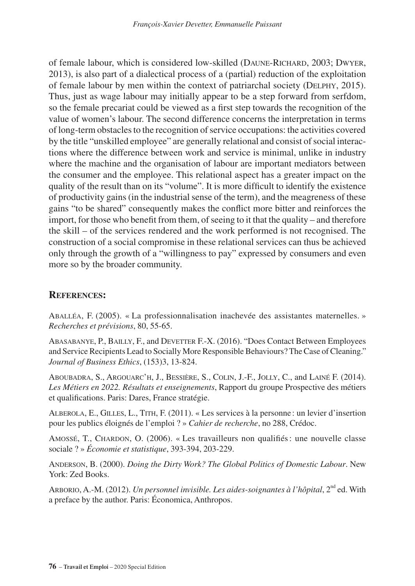of female labour, which is considered low-skilled (Daune-Richard, 2003; Dwyer, 2013), is also part of a dialectical process of a (partial) reduction of the exploitation of female labour by men within the context of patriarchal society (Delphy, 2015). Thus, just as wage labour may initially appear to be a step forward from serfdom, so the female precariat could be viewed as a first step towards the recognition of the value of women's labour. The second difference concerns the interpretation in terms of long-term obstacles to the recognition of service occupations: the activities covered by the title "unskilled employee" are generally relational and consist of social interactions where the difference between work and service is minimal, unlike in industry where the machine and the organisation of labour are important mediators between the consumer and the employee. This relational aspect has a greater impact on the quality of the result than on its "volume". It is more difficult to identify the existence of productivity gains (in the industrial sense of the term), and the meagreness of these gains "to be shared" consequently makes the conflict more bitter and reinforces the import, for those who benefit from them, of seeing to it that the quality – and therefore the skill – of the services rendered and the work performed is not recognised. The construction of a social compromise in these relational services can thus be achieved only through the growth of a "willingness to pay" expressed by consumers and even more so by the broader community.

### **References:**

Aballéa, F. (2005). « La professionnalisation inachevée des assistantes maternelles. » *Recherches et prévisions*, 80, 55-65.

Abasabanye, P., Bailly, F., and Devetter F.-X. (2016). "Does Contact Between Employees and Service Recipients Lead to Socially More Responsible Behaviours? The Case of Cleaning." *Journal of Business Ethics*, (153)3, 13-824.

Aboubadra, S., Argouarc'h, J., Bessière, S., Colin, J.-F., Jolly, C., and Lainé F. (2014). *Les Métiers en 2022. Résultats et enseignements*, Rapport du groupe Prospective des métiers et qualifications. Paris: Dares, France stratégie.

Alberola, E., Gilles, L., Tith, F. (2011). « Les services à la personne : un levier d'insertion pour les publics éloignés de l'emploi ? » *Cahier de recherche*, no 288, Crédoc.

Amossé, T., Chardon, O. (2006). « Les travailleurs non qualifiés: une nouvelle classe sociale ? » *Économie et statistique*, 393-394, 203-229.

Anderson, B. (2000). *Doing the Dirty Work? The Global Politics of Domestic Labour*. New York: Zed Books.

ARBORIO, A.-M. (2012). *Un personnel invisible. Les aides-soignantes à l'hôpital*, 2<sup>nd</sup> ed. With a preface by the author. Paris: Économica, Anthropos.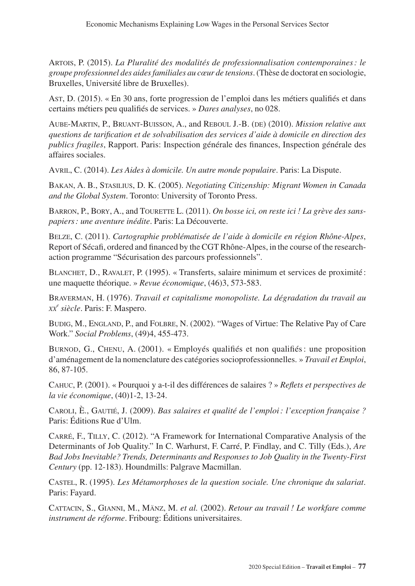Artois, P. (2015). *La Pluralité des modalités de professionnalisation contemporaines: le groupe professionnel des aides familiales au cœur de tensions*. (Thèse de doctorat en sociologie, Bruxelles, Université libre de Bruxelles).

Ast, D. (2015). « En 30 ans, forte progression de l'emploi dans les métiers qualifiés et dans certains métiers peu qualifiés de services. » *Dares analyses*, no 028.

Aube-Martin, P., Bruant-Buisson, A., and Reboul J.-B. (de) (2010). *Mission relative aux questions de tarification et de solvabilisation des services d'aide à domicile en direction des publics fragiles*, Rapport. Paris: Inspection générale des finances, Inspection générale des affaires sociales.

Avril, C. (2014). *Les Aides à domicile. Un autre monde populaire*. Paris: La Dispute.

Bakan, A. B., Stasilius, D. K. (2005). *Negotiating Citizenship: Migrant Women in Canada and the Global System*. Toronto: University of Toronto Press.

Barron, P., Bory, A., and Tourette L. (2011). *On bosse ici, on reste ici ! La grève des sanspapiers: une aventure inédite*. Paris: La Découverte.

Belze, C. (2011). *Cartographie problématisée de l'aide à domicile en région Rhône-Alpes*, Report of Sécafi, ordered and financed by the CGT Rhône-Alpes, in the course of the researchaction programme "Sécurisation des parcours professionnels".

BLANCHET, D., RAVALET, P. (1995). « Transferts, salaire minimum et services de proximité : une maquette théorique. » *Revue économique*, (46)3, 573-583.

Braverman, H. (1976). *Travail et capitalisme monopoliste. La dégradation du travail au xx<sup>e</sup> siècle*. Paris: F. Maspero.

Budig, M., England, P., and Folbre, N. (2002). "Wages of Virtue: The Relative Pay of Care Work." *Social Problems*, (49)4, 455-473.

Burnod, G., Chenu, A. (2001). « Employés qualifiés et non qualifiés: une proposition d'aménagement de la nomenclature des catégories socioprofessionnelles. » *Travail et Emploi*, 86, 87-105.

Cahuc, P. (2001). « Pourquoi y a-t-il des différences de salaires ? » *Reflets et perspectives de la vie économique*, (40)1-2, 13-24.

Caroli, È., Gautié, J. (2009). *Bas salaires et qualité de l'emploi: l'exception française ?* Paris: Éditions Rue d'Ulm.

Carré, F., Tilly, C. (2012). "A Framework for International Comparative Analysis of the Determinants of Job Quality." In C. Warhurst, F. Carré, P. Findlay, and C. Tilly (Eds.), *Are Bad Jobs Inevitable? Trends, Determinants and Responses to Job Quality in the Twenty-First Century* (pp. 12-183). Houndmills: Palgrave Macmillan.

Castel, R. (1995). *Les Métamorphoses de la question sociale. Une chronique du salariat*. Paris: Fayard.

Cattacin, S., Gianni, M., Mänz, M. *et al.* (2002). *Retour au travail ! Le workfare comme instrument de réforme*. Fribourg: Éditions universitaires.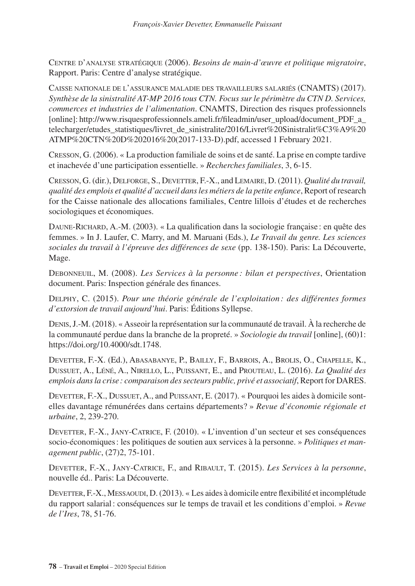Centre d'analyse stratégique (2006). *Besoins de main-d'œuvre et politique migratoire*, Rapport. Paris: Centre d'analyse stratégique.

Caisse nationale de l'assurance maladie des travailleurs salariés (CNAMTS) (2017). *Synthèse de la sinistralité AT-MP 2016 tous CTN. Focus sur le périmètre du CTN D. Services, commerces et industries de l'alimentation*. CNAMTS, Direction des risques professionnels [online]: http://www.risquesprofessionnels.ameli.fr/fileadmin/user\_upload/document\_PDF\_a [telecharger/etudes\\_statistiques/livret\\_de\\_sinistralite/2016/Livret%20Sinistralit%C3%A9%20](http://www.risquesprofessionnels.ameli.fr/fileadmin/user_upload/document_PDF_a_telecharger/etudes_statistiques/livret_de_sinistralite/2016/Livret%20Sinistralit%C3%A9%20ATMP%20CTN%20D%202016%20(2017-133-D).pdf) [ATMP%20CTN%20D%202016%20\(2017-133-D\).pdf](http://www.risquesprofessionnels.ameli.fr/fileadmin/user_upload/document_PDF_a_telecharger/etudes_statistiques/livret_de_sinistralite/2016/Livret%20Sinistralit%C3%A9%20ATMP%20CTN%20D%202016%20(2017-133-D).pdf), accessed 1 February 2021.

Cresson, G. (2006). « La production familiale de soins et de santé. La prise en compte tardive et inachevée d'une participation essentielle. » *Recherches familiales*, 3, 6-15.

Cresson, G. (dir.), Delforge, S., Devetter, F.-X., and Lemaire, D. (2011). *Qualité du travail, qualité des emplois et qualité d'accueil dans les métiers de la petite enfance*, Report of research for the Caisse nationale des allocations familiales, Centre lillois d'études et de recherches sociologiques et économiques.

Daune-Richard, A.-M. (2003). « La qualification dans la sociologie française : en quête des femmes. » In J. Laufer, C. Marry, and M. Maruani (Eds.), *Le Travail du genre. Les sciences*  sociales du travail à l'épreuve des différences de sexe (pp. 138-150). Paris: La Découverte, Mage.

Debonneuil, M. (2008). *Les Services à la personne : bilan et perspectives*, Orientation document. Paris: Inspection générale des finances.

Delphy, C. (2015). *Pour une théorie générale de l'exploitation : des différentes formes d'extorsion de travail aujourd'hui*. Paris: Éditions Syllepse.

Denis, J.-M. (2018). « Asseoir la représentation sur la communauté de travail. À la recherche de la communauté perdue dans la branche de la propreté. » *Sociologie du travail* [online], (60)1: <https://doi.org/10.4000/sdt.1748>.

Devetter, F.-X. (Ed.), Abasabanye, P., Bailly, F., Barrois, A., Brolis, O., Chapelle, K., Dussuet, A., Léné, A., Nirello, L., Puissant, E., and Prouteau, L. (2016). *La Qualité des emplois dans la crise : comparaison des secteurs public, privé et associatif*, Report for DARES.

DEVETTER, F.-X., DUSSUET, A., and PUISSANT, E. (2017). « Pourquoi les aides à domicile sontelles davantage rémunérées dans certains départements? » *Revue d'économie régionale et urbaine*, 2, 239-270.

Devetter, F.-X., Jany-Catrice, F. (2010). « L'invention d'un secteur et ses conséquences socio-économiques: les politiques de soutien aux services à la personne. » *Politiques et management public*, (27)2, 75-101.

Devetter, F.-X., Jany-Catrice, F., and Ribault, T. (2015). *Les Services à la personne*, nouvelle éd.. Paris: La Découverte.

DEVETTER, F.-X., MESSAOUDI, D. (2013). « Les aides à domicile entre flexibilité et incomplétude du rapport salarial: conséquences sur le temps de travail et les conditions d'emploi. » *Revue de l'Ires*, 78, 51-76.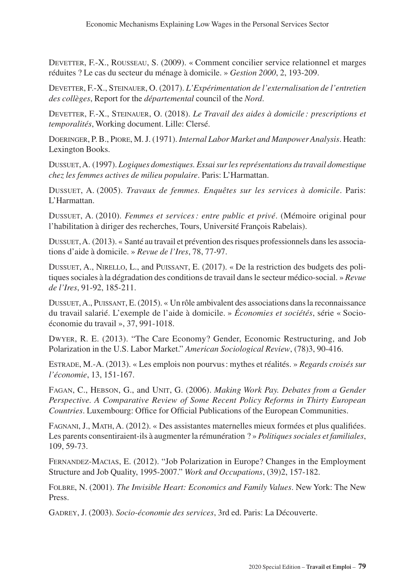Devetter, F.-X., Rousseau, S. (2009). « Comment concilier service relationnel et marges réduites ? Le cas du secteur du ménage à domicile. » *Gestion 2000*, 2, 193-209.

Devetter, F.-X., Steinauer, O. (2017). *L'Expérimentation de l'externalisation de l'entretien des collèges*, Report for the *départemental* council of the *Nord*.

Devetter, F.-X., Steinauer, O. (2018). *Le Travail des aides à domicile : prescriptions et temporalités*, Working document. Lille: Clersé.

Doeringer, P. B., Piore, M.J. (1971). *Internal Labor Market and Manpower Analysis*. Heath: Lexington Books.

Dussuet, A. (1997). *Logiques domestiques. Essai sur les représentations du travail domestique chez les femmes actives de milieu populaire*. Paris: L'Harmattan.

Dussuet, A. (2005). *Travaux de femmes. Enquêtes sur les services à domicile*. Paris: L'Harmattan.

Dussuet, A. (2010). *Femmes et services: entre public et privé*. (Mémoire original pour l'habilitation à diriger des recherches, Tours, Université François Rabelais).

Dussuet, A. (2013). « Santé au travail et prévention des risques professionnels dans les associations d'aide à domicile. » *Revue de l'Ires*, 78, 77-97.

Dussuet, A., Nirello, L., and Puissant, E. (2017). « De la restriction des budgets des politiques sociales à la dégradation des conditions de travail dans le secteur médico-social. » *Revue de l'Ires*, 91-92, 185-211.

Dussuet, A., Puissant, E. (2015). « Un rôle ambivalent des associations dans la reconnaissance du travail salarié. L'exemple de l'aide à domicile. » *Économies et sociétés*, série « Socioéconomie du travail », 37, 991-1018.

Dwyer, R. E. (2013). "The Care Economy? Gender, Economic Restructuring, and Job Polarization in the U.S. Labor Market." *American Sociological Review*, (78)3, 90-416.

Estrade, M.-A. (2013). « Les emplois non pourvus: mythes et réalités. » *Regards croisés sur l'économie*, 13, 151-167.

Fagan, C., Hebson, G., and Unit, G. (2006). *Making Work Pay. Debates from a Gender Perspective. A Comparative Review of Some Recent Policy Reforms in Thirty European Countries*. Luxembourg: Office for Official Publications of the European Communities.

Fagnani, J., Math, A. (2012). « Des assistantes maternelles mieux formées et plus qualifiées. Les parents consentiraient-ils à augmenter la rémunération ? » *Politiques sociales et familiales*, 109, 59-73.

Fernandez-Macias, E. (2012). "Job Polarization in Europe? Changes in the Employment Structure and Job Quality, 1995-2007." *Work and Occupations*, (39)2, 157-182.

Folbre, N. (2001). *The Invisible Heart: Economics and Family Values*. New York: The New Press.

Gadrey, J. (2003). *Socio-économie des services*, 3rd ed. Paris: La Découverte.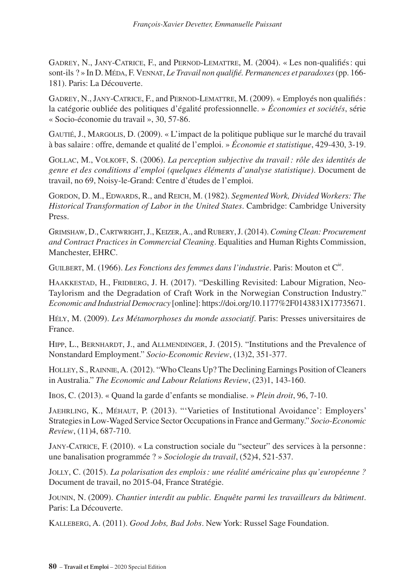Gadrey, N., Jany-Catrice, F., and Pernod-Lemattre, M. (2004). « Les non-qualifiés: qui sont-ils ? » In D. Méda, F. Vennat, *Le Travail non qualifié. Permanences et paradoxes* (pp. 166- 181). Paris: La Découverte.

Gadrey, N., Jany-Catrice, F., and Pernod-Lemattre, M. (2009). « Employés non qualifiés: la catégorie oubliée des politiques d'égalité professionnelle. » *Économies et sociétés*, série « Socio-économie du travail », 30, 57-86.

Gautié, J., Margolis, D. (2009). « L'impact de la politique publique sur le marché du travail à bas salaire : offre, demande et qualité de l'emploi. » *Économie et statistique*, 429-430, 3-19.

Gollac, M., Volkoff, S. (2006). *La perception subjective du travail: rôle des identités de genre et des conditions d'emploi (quelques éléments d'analyse statistique)*. Document de travail, no 69, Noisy-le-Grand: Centre d'études de l'emploi.

GORDON, D. M., EDWARDS, R., and REICH, M. (1982). *Segmented Work, Divided Workers: The Historical Transformation of Labor in the United States*. Cambridge: Cambridge University Press.

Grimshaw, D., Cartwright, J., Keizer, A., and Rubery, J. (2014). *Coming Clean: Procurement and Contract Practices in Commercial Cleaning*. Equalities and Human Rights Commission, Manchester, EHRC.

GUILBERT, M. (1966). *Les Fonctions des femmes dans l'industrie*. Paris: Mouton et C<sup>ie</sup>.

HAAKKESTAD, H., FRIDBERG, J. H. (2017). "Deskilling Revisited: Labour Migration, Neo-Taylorism and the Degradation of Craft Work in the Norwegian Construction Industry." *Economic and Industrial Democracy* [online]: [https://doi.org/10.1177%2F0143831X17735671.](https://doi.org/10.1177%2F0143831X17735671)

Hély, M. (2009). *Les Métamorphoses du monde associatif*. Paris: Presses universitaires de France.

HIPP, L., BERNHARDT, J., and ALLMENDINGER, J. (2015). "Institutions and the Prevalence of Nonstandard Employment." *Socio-Economic Review*, (13)2, 351-377.

Holley, S., Rainnie, A. (2012). "Who Cleans Up? The Declining Earnings Position of Cleaners in Australia." *The Economic and Labour Relations Review*, (23)1, 143-160.

Ibos, C. (2013). « Quand la garde d'enfants se mondialise. » *Plein droit*, 96, 7-10.

Jaehrling, K., Méhaut, P. (2013). "'Varieties of Institutional Avoidance': Employers' Strategies in Low-Waged Service Sector Occupations in France and Germany." *Socio-Economic Review*, (11)4, 687-710.

Jany-Catrice, F. (2010). « La construction sociale du "secteur" des services à la personne: une banalisation programmée ? » *Sociologie du travail*, (52)4, 521-537.

Jolly, C. (2015). *La polarisation des emplois: une réalité américaine plus qu'européenne ?* Document de travail, no 2015-04, France Stratégie.

Jounin, N. (2009). *Chantier interdit au public. Enquête parmi les travailleurs du bâtiment*. Paris: La Découverte.

Kalleberg, A. (2011). *Good Jobs, Bad Jobs*. New York: Russel Sage Foundation.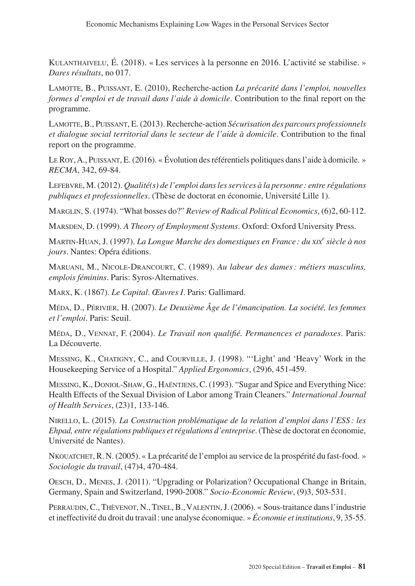Kulanthaivelu, É. (2018). « Les services à la personne en 2016. L'activité se stabilise. » *Dares résultats*, no 017.

Lamotte, B., Puissant, E. (2010), Recherche-action *La précarité dans l'emploi, nouvelles formes d'emploi et de travail dans l'aide à domicile*. Contribution to the final report on the programme.

Lamotte, B., Puissant, E. (2013). Recherche-action *Sécurisation des parcours professionnels et dialogue social territorial dans le secteur de l'aide à domicile*. Contribution to the final report on the programme.

LeRoy, A., Puissant, E. (2016). « Évolution des référentiels politiques dans l'aide à domicile. » *RECMA*, 342, 69-84.

Lefebvre, M. (2012). *Qualité(s) de l'emploi dans les services à la personne : entre régulations publiques et professionnelles*. (Thèse de doctorat en économie, Université Lille 1).

Marglin, S. (1974). "What bosses do?" *Review of Radical Political Economics*, (6)2, 60-112.

Marsden, D. (1999). *A Theory of Employment Systems*. Oxford: Oxford University Press.

Martin-Huan, J. (1997). *La Longue Marche des domestiques en France : du xix<sup>e</sup> siècle à nos jours*. Nantes: Opéra éditions.

Maruani, M., Nicole-Drancourt, C. (1989). *Au labeur des dames: métiers masculins, emplois féminins*. Paris: Syros-Alternatives.

Marx, K. (1867). *Le Capital*. *Œuvres I*. Paris: Gallimard.

Méda, D., Périvier, H. (2007). *Le Deuxième Âge de l'émancipation. La société, les femmes et l'emploi*. Paris: Seuil.

Méda, D., Vennat, F. (2004). *Le Travail non qualifié. Permanences et paradoxes*. Paris: La Découverte.

Messing, K., Chatigny, C., and Courville, J. (1998). "'Light' and 'Heavy' Work in the Housekeeping Service of a Hospital." *Applied Ergonomics*, (29)6, 451-459.

Messing, K., Doniol-Shaw, G., Haëntjens, C. (1993). "Sugar and Spice and Everything Nice: Health Effects of the Sexual Division of Labor among Train Cleaners." *International Journal of Health Services*, (23)1, 133-146.

Nirello, L. (2015). *La Construction problématique de la relation d'emploi dans l'ESS : les Ehpad, entre régulations publiques et régulations d'entreprise*. (Thèse de doctorat en économie, Université de Nantes).

Nkouatchet, R. N. (2005). « La précarité de l'emploi au service de la prospérité du fast-food. » *Sociologie du travail*, (47)4, 470-484.

Oesch, D., Menes, J. (2011). "Upgrading or Polarization? Occupational Change in Britain, Germany, Spain and Switzerland, 1990-2008." *Socio-Economic Review*, (9)3, 503-531.

PERRAUDIN, C., THÈVENOT, N., TINEL, B., VALENTIN, J. (2006). « Sous-traitance dans l'industrie et ineffectivité du droit du travail: une analyse économique. » *Économie et institutions*, 9, 35-55.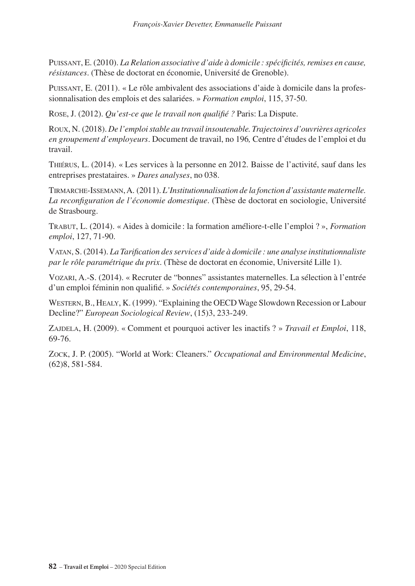Puissant, E. (2010). *La Relation associative d'aide à domicile : spécificités, remises en cause, résistances*. (Thèse de doctorat en économie, Université de Grenoble).

Puissant, E. (2011). « Le rôle ambivalent des associations d'aide à domicile dans la professionnalisation des emplois et des salariées. » *Formation emploi*, 115, 37-50.

Rose, J. (2012). *Qu'est-ce que le travail non qualifié ?* Paris: La Dispute.

Roux, N. (2018). *De l'emploi stable au travail insoutenable. Trajectoires d'ouvrières agricoles en groupement d'employeurs*. Document de travail, no 196*,* Centre d'études de l'emploi et du travail.

Thiérus, L. (2014). « Les services à la personne en 2012. Baisse de l'activité, sauf dans les entreprises prestataires. » *Dares analyses*, no 038.

Tirmarche-Issemann, A. (2011). *L'Institutionnalisation de la fonction d'assistante maternelle. La reconfiguration de l'économie domestique*. (Thèse de doctorat en sociologie, Université de Strasbourg.

Trabut, L. (2014). « Aides à domicile : la formation améliore-t-elle l'emploi ? », *Formation emploi*, 127, 71-90.

Vatan, S. (2014). *La Tarification des services d'aide à domicile : une analyse institutionnaliste par le rôle paramétrique du prix*. (Thèse de doctorat en économie, Université Lille 1).

Vozari, A.-S. (2014). « Recruter de "bonnes" assistantes maternelles. La sélection à l'entrée d'un emploi féminin non qualifié. » *Sociétés contemporaines*, 95, 29-54.

Western, B., Healy, K. (1999). "Explaining the OECD Wage Slowdown Recession or Labour Decline?" *European Sociological Review*, (15)3, 233-249.

Zajdela, H. (2009). « Comment et pourquoi activer les inactifs ? » *Travail et Emploi*, 118, 69-76.

Zock, J. P. (2005). "World at Work: Cleaners." *Occupational and Environmental Medicine*, (62)8, 581-584.